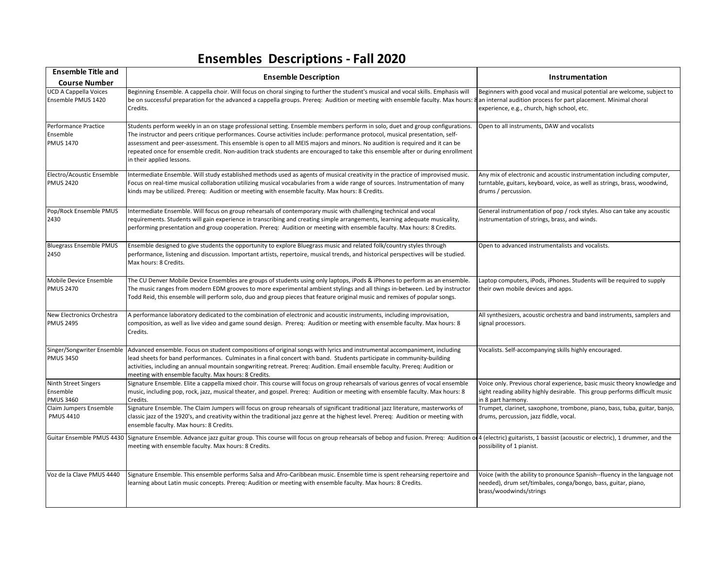## **Ensembles Descriptions - Fall 2020**

| <b>Ensemble Title and</b><br><b>Course Number</b>    | <b>Ensemble Description</b>                                                                                                                                                                                                                                                                                                                                                                                                                                                                                                                                | Instrumentation                                                                                                                                                                           |
|------------------------------------------------------|------------------------------------------------------------------------------------------------------------------------------------------------------------------------------------------------------------------------------------------------------------------------------------------------------------------------------------------------------------------------------------------------------------------------------------------------------------------------------------------------------------------------------------------------------------|-------------------------------------------------------------------------------------------------------------------------------------------------------------------------------------------|
| <b>UCD A Cappella Voices</b><br>Ensemble PMUS 1420   | Beginning Ensemble. A cappella choir. Will focus on choral singing to further the student's musical and vocal skills. Emphasis will<br>be on successful preparation for the advanced a cappella groups. Prereq: Audition or meeting with ensemble faculty. Max hours: 8<br>Credits.                                                                                                                                                                                                                                                                        | Beginners with good vocal and musical potential are welcome, subject to<br>an internal audition process for part placement. Minimal choral<br>experience, e.g., church, high school, etc. |
| Performance Practice<br>Ensemble<br><b>PMUS 1470</b> | Students perform weekly in an on stage professional setting. Ensemble members perform in solo, duet and group configurations.<br>The instructor and peers critique performances. Course activities include: performance protocol, musical presentation, self-<br>assessment and peer-assessment. This ensemble is open to all MEIS majors and minors. No audition is required and it can be<br>repeated once for ensemble credit. Non-audition track students are encouraged to take this ensemble after or during enrollment<br>in their applied lessons. | Open to all instruments, DAW and vocalists                                                                                                                                                |
| Electro/Acoustic Ensemble<br><b>PMUS 2420</b>        | Intermediate Ensemble. Will study established methods used as agents of musical creativity in the practice of improvised music.<br>Focus on real-time musical collaboration utilizing musical vocabularies from a wide range of sources. Instrumentation of many<br>kinds may be utilized. Prereq: Audition or meeting with ensemble faculty. Max hours: 8 Credits.                                                                                                                                                                                        | Any mix of electronic and acoustic instrumentation including computer,<br>turntable, guitars, keyboard, voice, as well as strings, brass, woodwind,<br>drums / percussion.                |
| Pop/Rock Ensemble PMUS<br>2430                       | Intermediate Ensemble. Will focus on group rehearsals of contemporary music with challenging technical and vocal<br>requirements. Students will gain experience in transcribing and creating simple arrangements, learning adequate musicality,<br>performing presentation and group cooperation. Prereq: Audition or meeting with ensemble faculty. Max hours: 8 Credits.                                                                                                                                                                                 | General instrumentation of pop / rock styles. Also can take any acoustic<br>instrumentation of strings, brass, and winds.                                                                 |
| <b>Bluegrass Ensemble PMUS</b><br>2450               | Ensemble designed to give students the opportunity to explore Bluegrass music and related folk/country styles through<br>performance, listening and discussion. Important artists, repertoire, musical trends, and historical perspectives will be studied.<br>Max hours: 8 Credits.                                                                                                                                                                                                                                                                       | Open to advanced instrumentalists and vocalists.                                                                                                                                          |
| Mobile Device Ensemble<br><b>PMUS 2470</b>           | The CU Denver Mobile Device Ensembles are groups of students using only laptops, iPods & iPhones to perform as an ensemble.<br>The music ranges from modern EDM grooves to more experimental ambient stylings and all things in-between. Led by instructor<br>Todd Reid, this ensemble will perform solo, duo and group pieces that feature original music and remixes of popular songs.                                                                                                                                                                   | Laptop computers, iPods, iPhones. Students will be required to supply<br>their own mobile devices and apps.                                                                               |
| New Electronics Orchestra<br><b>PMUS 2495</b>        | A performance laboratory dedicated to the combination of electronic and acoustic instruments, including improvisation,<br>composition, as well as live video and game sound design. Prereq: Audition or meeting with ensemble faculty. Max hours: 8<br>Credits.                                                                                                                                                                                                                                                                                            | All synthesizers, acoustic orchestra and band instruments, samplers and<br>signal processors.                                                                                             |
| Singer/Songwriter Ensemble<br><b>PMUS 3450</b>       | Advanced ensemble. Focus on student compositions of original songs with lyrics and instrumental accompaniment, including<br>lead sheets for band performances. Culminates in a final concert with band. Students participate in community-building<br>activities, including an annual mountain songwriting retreat. Prereq: Audition. Email ensemble faculty. Prereq: Audition or<br>meeting with ensemble faculty. Max hours: 8 Credits.                                                                                                                  | Vocalists. Self-accompanying skills highly encouraged.                                                                                                                                    |
| Ninth Street Singers<br>Ensemble<br><b>PMUS 3460</b> | Signature Ensemble. Elite a cappella mixed choir. This course will focus on group rehearsals of various genres of vocal ensemble<br>music, including pop, rock, jazz, musical theater, and gospel. Prereq: Audition or meeting with ensemble faculty. Max hours: 8<br>Credits.                                                                                                                                                                                                                                                                             | Voice only. Previous choral experience, basic music theory knowledge and<br>sight reading ability highly desirable. This group performs difficult music<br>in 8 part harmony.             |
| Claim Jumpers Ensemble<br><b>PMUS 4410</b>           | Signature Ensemble. The Claim Jumpers will focus on group rehearsals of significant traditional jazz literature, masterworks of<br>classic jazz of the 1920's, and creativity within the traditional jazz genre at the highest level. Prereq: Audition or meeting with<br>ensemble faculty. Max hours: 8 Credits.                                                                                                                                                                                                                                          | Trumpet, clarinet, saxophone, trombone, piano, bass, tuba, guitar, banjo,<br>drums, percussion, jazz fiddle, vocal.                                                                       |
|                                                      | Guitar Ensemble PMUS 4430 Signature Ensemble. Advance jazz guitar group. This course will focus on group rehearsals of bebop and fusion. Prereq: Audition of 4 (electric) guitarists, 1 bassist (acoustic or electric), 1 drum<br>meeting with ensemble faculty. Max hours: 8 Credits.                                                                                                                                                                                                                                                                     | possibility of 1 pianist.                                                                                                                                                                 |
| Voz de la Clave PMUS 4440                            | Signature Ensemble. This ensemble performs Salsa and Afro-Caribbean music. Ensemble time is spent rehearsing repertoire and<br>learning about Latin music concepts. Prereq: Audition or meeting with ensemble faculty. Max hours: 8 Credits.                                                                                                                                                                                                                                                                                                               | Voice (with the ability to pronounce Spanish--fluency in the language not<br>needed), drum set/timbales, conga/bongo, bass, guitar, piano,<br>brass/woodwinds/strings                     |